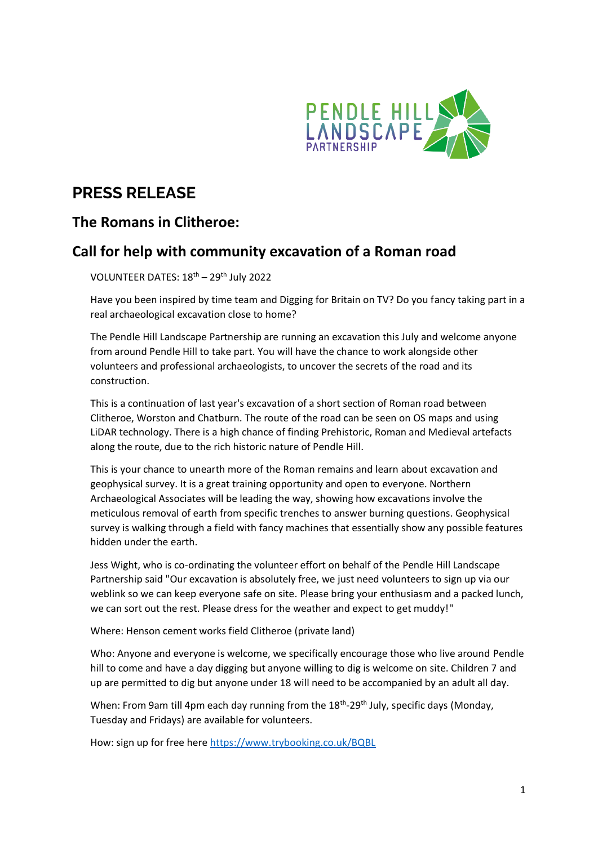

# **PRESS RELEASE**

## **The Romans in Clitheroe:**

### **Call for help with community excavation of a Roman road**

VOLUNTEER DATES: 18th – 29th July 2022

Have you been inspired by time team and Digging for Britain on TV? Do you fancy taking part in a real archaeological excavation close to home?

The Pendle Hill Landscape Partnership are running an excavation this July and welcome anyone from around Pendle Hill to take part. You will have the chance to work alongside other volunteers and professional archaeologists, to uncover the secrets of the road and its construction.

This is a continuation of last year's excavation of a short section of Roman road between Clitheroe, Worston and Chatburn. The route of the road can be seen on OS maps and using LiDAR technology. There is a high chance of finding Prehistoric, Roman and Medieval artefacts along the route, due to the rich historic nature of Pendle Hill.

This is your chance to unearth more of the Roman remains and learn about excavation and geophysical survey. It is a great training opportunity and open to everyone. Northern Archaeological Associates will be leading the way, showing how excavations involve the meticulous removal of earth from specific trenches to answer burning questions. Geophysical survey is walking through a field with fancy machines that essentially show any possible features hidden under the earth.

Jess Wight, who is co-ordinating the volunteer effort on behalf of the Pendle Hill Landscape Partnership said "Our excavation is absolutely free, we just need volunteers to sign up via our weblink so we can keep everyone safe on site. Please bring your enthusiasm and a packed lunch, we can sort out the rest. Please dress for the weather and expect to get muddy!"

Where: Henson cement works field Clitheroe (private land)

Who: Anyone and everyone is welcome, we specifically encourage those who live around Pendle hill to come and have a day digging but anyone willing to dig is welcome on site. Children 7 and up are permitted to dig but anyone under 18 will need to be accompanied by an adult all day.

When: From 9am till 4pm each day running from the 18<sup>th</sup>-29<sup>th</sup> July, specific days (Monday, Tuesday and Fridays) are available for volunteers.

How: sign up for free here<https://www.trybooking.co.uk/BQBL>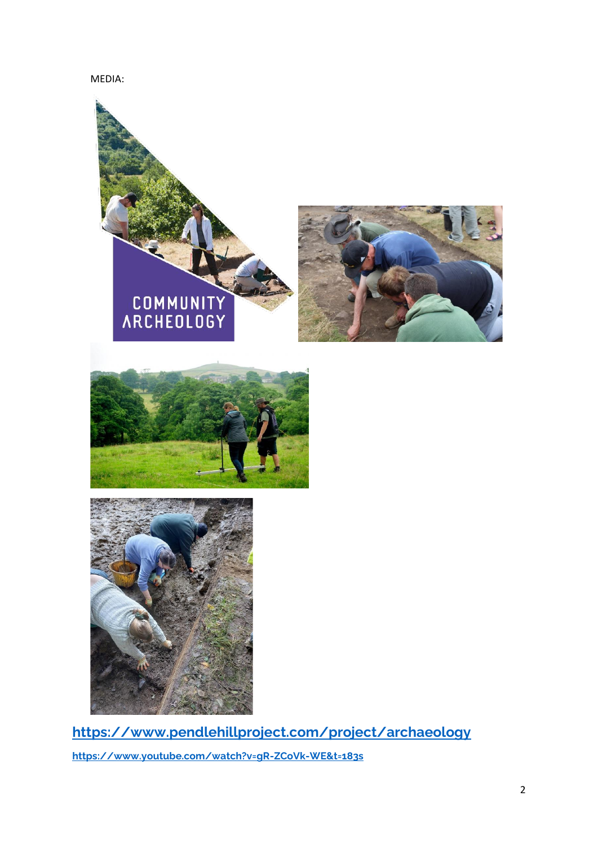### MEDIA:







**<https://www.pendlehillproject.com/project/archaeology> <https://www.youtube.com/watch?v=gR-ZCoVk-WE&t=183s>**